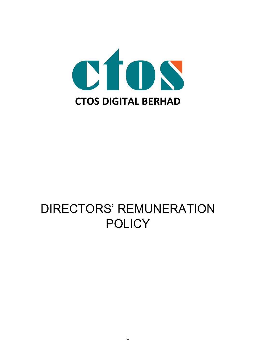

# DIRECTORS' REMUNERATION **POLICY**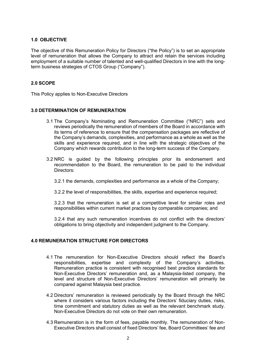#### **1.0 OBJECTIVE**

The objective of this Remuneration Policy for Directors ("the Policy") is to set an appropriate level of remuneration that allows the Company to attract and retain the services including employment of a suitable number of talented and well-qualified Directors in line with the longterm business strategies of CTOS Group ("Company").

### **2.0 SCOPE**

This Policy applies to Non-Executive Directors

#### **3.0 DETERMINATION OF REMUNERATION**

- 3.1 The Company's Nominating and Remuneration Committee ("NRC") sets and reviews periodically the remuneration of members of the Board in accordance with its terms of reference to ensure that the compensation packages are reflective of the Company's demands, complexities, and performance as a whole as well as the skills and experience required, and in line with the strategic objectives of the Company which rewards contribution to the long-term success of the Company.
- 3.2 NRC is guided by the following principles prior its endorsement and recommendation to the Board, the remuneration to be paid to the individual Directors:

3.2.1 the demands, complexities and performance as a whole of the Company;

3.2.2 the level of responsibilities, the skills, expertise and experience required;

3.2.3 that the remuneration is set at a competitive level for similar roles and responsibilities within current market practices by comparable companies; and

3.2.4 that any such remuneration incentives do not conflict with the directors' obligations to bring objectivity and independent judgment to the Company.

#### **4.0 REMUNERATION STRUCTURE FOR DIRECTORS**

- 4.1 The remuneration for Non-Executive Directors should reflect the Board's responsibilities, expertise and complexity of the Company's activities. Remuneration practice is consistent with recognised best practice standards for Non-Executive Directors' remuneration and, as a Malaysia-listed company, the level and structure of Non-Executive Directors' remuneration will primarily be compared against Malaysia best practice.
- 4.2 Directors' remuneration is reviewed periodically by the Board through the NRC where it considers various factors including the Directors' fiduciary duties, risks, time commitment and statutory duties as well as the relevant benchmark study. Non-Executive Directors do not vote on their own remuneration.
- 4.3 Remuneration is in the form of fees, payable monthly. The remuneration of Non-Executive Directors shall consist of fixed Directors' fee, Board Committees' fee and